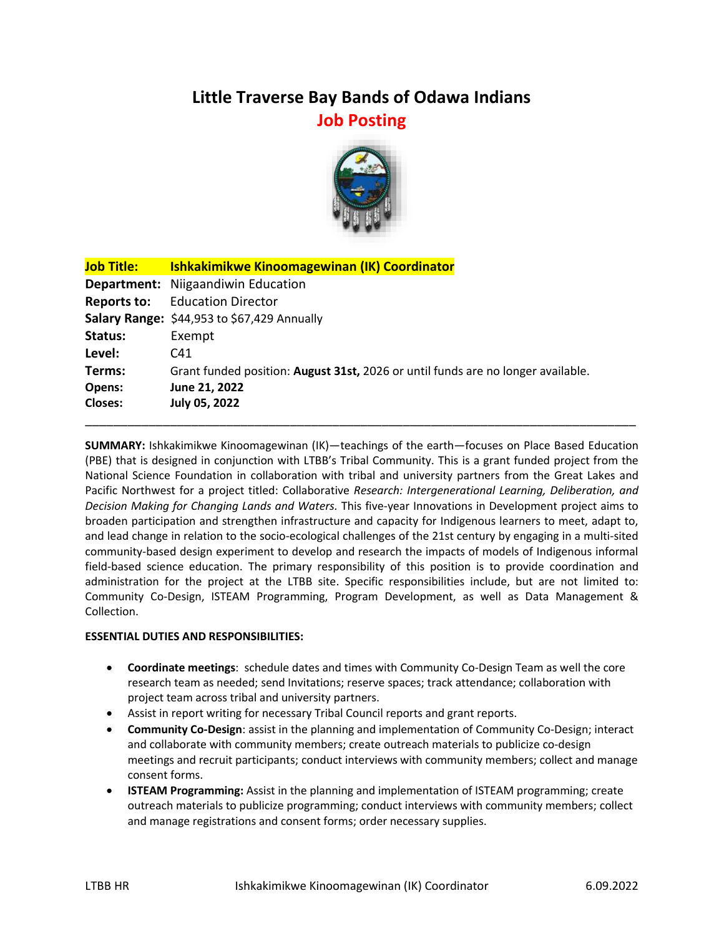# **Little Traverse Bay Bands of Odawa Indians Job Posting**



| <b>Job Title:</b> | <b>Ishkakimikwe Kinoomagewinan (IK) Coordinator</b>                              |
|-------------------|----------------------------------------------------------------------------------|
|                   | Department: Niigaandiwin Education                                               |
| Reports to:       | <b>Education Director</b>                                                        |
|                   | Salary Range: \$44,953 to \$67,429 Annually                                      |
| Status:           | Exempt                                                                           |
| Level:            | C41                                                                              |
| Terms:            | Grant funded position: August 31st, 2026 or until funds are no longer available. |
| Opens:            | June 21, 2022                                                                    |
| <b>Closes:</b>    | July 05, 2022                                                                    |
|                   |                                                                                  |

**SUMMARY:** Ishkakimikwe Kinoomagewinan (IK)—teachings of the earth—focuses on Place Based Education (PBE) that is designed in conjunction with LTBB's Tribal Community. This is a grant funded project from the National Science Foundation in collaboration with tribal and university partners from the Great Lakes and Pacific Northwest for a project titled: Collaborative *Research: Intergenerational Learning, Deliberation, and Decision Making for Changing Lands and Waters.* This five-year Innovations in Development project aims to broaden participation and strengthen infrastructure and capacity for Indigenous learners to meet, adapt to, and lead change in relation to the socio-ecological challenges of the 21st century by engaging in a multi-sited community-based design experiment to develop and research the impacts of models of Indigenous informal field-based science education. The primary responsibility of this position is to provide coordination and administration for the project at the LTBB site. Specific responsibilities include, but are not limited to: Community Co-Design, ISTEAM Programming, Program Development, as well as Data Management & Collection.

### **ESSENTIAL DUTIES AND RESPONSIBILITIES:**

- **Coordinate meetings**: schedule dates and times with Community Co-Design Team as well the core research team as needed; send Invitations; reserve spaces; track attendance; collaboration with project team across tribal and university partners.
- Assist in report writing for necessary Tribal Council reports and grant reports.
- **Community Co-Design**: assist in the planning and implementation of Community Co-Design; interact and collaborate with community members; create outreach materials to publicize co-design meetings and recruit participants; conduct interviews with community members; collect and manage consent forms.
- **ISTEAM Programming:** Assist in the planning and implementation of ISTEAM programming; create outreach materials to publicize programming; conduct interviews with community members; collect and manage registrations and consent forms; order necessary supplies.